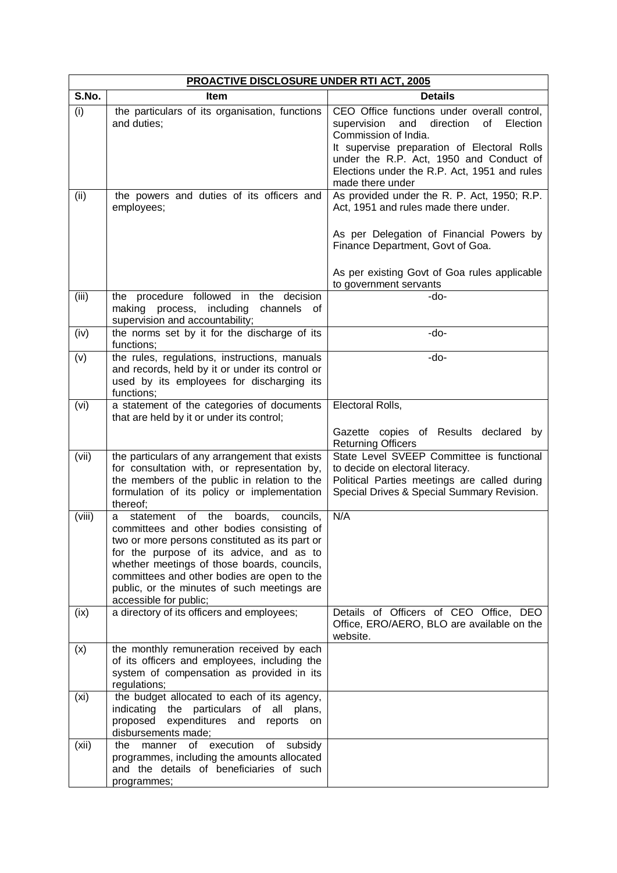| <b>PROACTIVE DISCLOSURE UNDER RTI ACT, 2005</b> |                                                                                                                                                                                                                                                                                                                                                                    |                                                                                                                                                                                                                                                                                     |  |  |
|-------------------------------------------------|--------------------------------------------------------------------------------------------------------------------------------------------------------------------------------------------------------------------------------------------------------------------------------------------------------------------------------------------------------------------|-------------------------------------------------------------------------------------------------------------------------------------------------------------------------------------------------------------------------------------------------------------------------------------|--|--|
| S.No.                                           | Item                                                                                                                                                                                                                                                                                                                                                               | <b>Details</b>                                                                                                                                                                                                                                                                      |  |  |
| (i)                                             | the particulars of its organisation, functions<br>and duties;                                                                                                                                                                                                                                                                                                      | CEO Office functions under overall control,<br>supervision<br>and direction<br>of<br>Election<br>Commission of India.<br>It supervise preparation of Electoral Rolls<br>under the R.P. Act, 1950 and Conduct of<br>Elections under the R.P. Act, 1951 and rules<br>made there under |  |  |
| (ii)                                            | the powers and duties of its officers and<br>employees;                                                                                                                                                                                                                                                                                                            | As provided under the R. P. Act, 1950; R.P.<br>Act, 1951 and rules made there under.                                                                                                                                                                                                |  |  |
|                                                 |                                                                                                                                                                                                                                                                                                                                                                    | As per Delegation of Financial Powers by<br>Finance Department, Govt of Goa.                                                                                                                                                                                                        |  |  |
|                                                 |                                                                                                                                                                                                                                                                                                                                                                    | As per existing Govt of Goa rules applicable<br>to government servants                                                                                                                                                                                                              |  |  |
| (iii)                                           | the procedure followed in the decision<br>making process, including<br>channels<br>_of<br>supervision and accountability;                                                                                                                                                                                                                                          | -do-                                                                                                                                                                                                                                                                                |  |  |
| (iv)                                            | the norms set by it for the discharge of its<br>functions;                                                                                                                                                                                                                                                                                                         | -do-                                                                                                                                                                                                                                                                                |  |  |
| (v)                                             | the rules, regulations, instructions, manuals<br>and records, held by it or under its control or<br>used by its employees for discharging its<br>functions;                                                                                                                                                                                                        | -do-                                                                                                                                                                                                                                                                                |  |  |
| (vi)                                            | a statement of the categories of documents<br>that are held by it or under its control;                                                                                                                                                                                                                                                                            | Electoral Rolls,<br>Gazette copies of Results declared by                                                                                                                                                                                                                           |  |  |
|                                                 |                                                                                                                                                                                                                                                                                                                                                                    | <b>Returning Officers</b>                                                                                                                                                                                                                                                           |  |  |
| (vii)                                           | the particulars of any arrangement that exists<br>for consultation with, or representation by,<br>the members of the public in relation to the<br>formulation of its policy or implementation<br>thereof;                                                                                                                                                          | State Level SVEEP Committee is functional<br>to decide on electoral literacy.<br>Political Parties meetings are called during<br>Special Drives & Special Summary Revision.                                                                                                         |  |  |
| (viii)                                          | of the<br>boards,<br>statement<br>councils,<br>a<br>committees and other bodies consisting of<br>two or more persons constituted as its part or<br>for the purpose of its advice, and as to<br>whether meetings of those boards, councils,<br>committees and other bodies are open to the<br>public, or the minutes of such meetings are<br>accessible for public; | N/A                                                                                                                                                                                                                                                                                 |  |  |
| (ix)                                            | a directory of its officers and employees;                                                                                                                                                                                                                                                                                                                         | Details of Officers of CEO Office, DEO<br>Office, ERO/AERO, BLO are available on the<br>website.                                                                                                                                                                                    |  |  |
| (x)                                             | the monthly remuneration received by each<br>of its officers and employees, including the<br>system of compensation as provided in its<br>regulations;                                                                                                                                                                                                             |                                                                                                                                                                                                                                                                                     |  |  |
| (x <sub>i</sub> )                               | the budget allocated to each of its agency,<br>indicating the particulars of all plans,<br>proposed<br>expenditures and<br>reports<br>on<br>disbursements made;                                                                                                                                                                                                    |                                                                                                                                                                                                                                                                                     |  |  |
| (xii)                                           | of execution<br>the<br>manner<br>of<br>subsidy<br>programmes, including the amounts allocated<br>and the details of beneficiaries of such<br>programmes;                                                                                                                                                                                                           |                                                                                                                                                                                                                                                                                     |  |  |